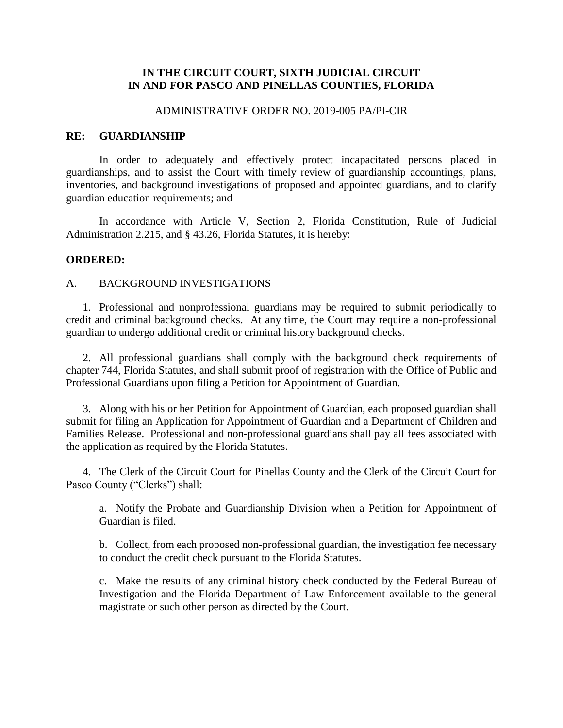## **IN THE CIRCUIT COURT, SIXTH JUDICIAL CIRCUIT IN AND FOR PASCO AND PINELLAS COUNTIES, FLORIDA**

### ADMINISTRATIVE ORDER NO. 2019-005 PA/PI-CIR

## **RE: GUARDIANSHIP**

In order to adequately and effectively protect incapacitated persons placed in guardianships, and to assist the Court with timely review of guardianship accountings, plans, inventories, and background investigations of proposed and appointed guardians, and to clarify guardian education requirements; and

In accordance with Article V, Section 2, Florida Constitution, Rule of Judicial Administration 2.215, and § 43.26, Florida Statutes, it is hereby:

### **ORDERED:**

## A. BACKGROUND INVESTIGATIONS

1. Professional and nonprofessional guardians may be required to submit periodically to credit and criminal background checks. At any time, the Court may require a non-professional guardian to undergo additional credit or criminal history background checks.

2. All professional guardians shall comply with the background check requirements of chapter 744, Florida Statutes, and shall submit proof of registration with the Office of Public and Professional Guardians upon filing a Petition for Appointment of Guardian.

3. Along with his or her Petition for Appointment of Guardian, each proposed guardian shall submit for filing an Application for Appointment of Guardian and a Department of Children and Families Release. Professional and non-professional guardians shall pay all fees associated with the application as required by the Florida Statutes.

4. The Clerk of the Circuit Court for Pinellas County and the Clerk of the Circuit Court for Pasco County ("Clerks") shall:

a. Notify the Probate and Guardianship Division when a Petition for Appointment of Guardian is filed.

b. Collect, from each proposed non-professional guardian, the investigation fee necessary to conduct the credit check pursuant to the Florida Statutes.

c. Make the results of any criminal history check conducted by the Federal Bureau of Investigation and the Florida Department of Law Enforcement available to the general magistrate or such other person as directed by the Court.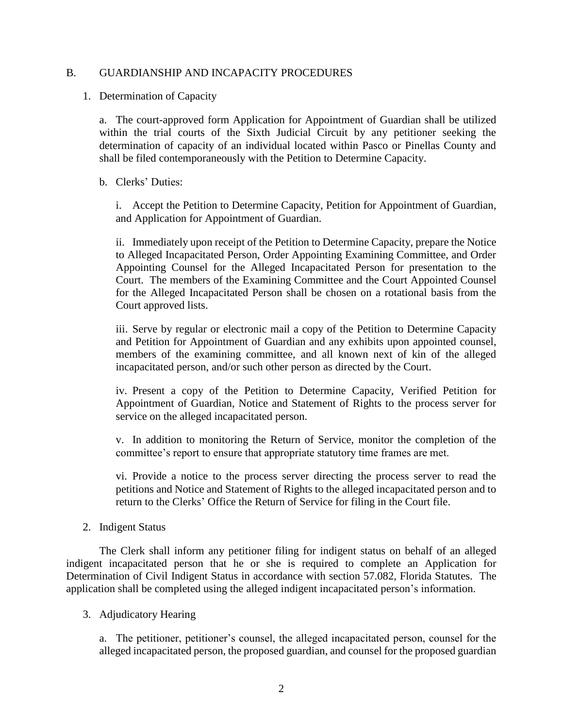## B. GUARDIANSHIP AND INCAPACITY PROCEDURES

### 1. Determination of Capacity

a. The court-approved form Application for Appointment of Guardian shall be utilized within the trial courts of the Sixth Judicial Circuit by any petitioner seeking the determination of capacity of an individual located within Pasco or Pinellas County and shall be filed contemporaneously with the Petition to Determine Capacity.

### b. Clerks' Duties:

i. Accept the Petition to Determine Capacity, Petition for Appointment of Guardian, and Application for Appointment of Guardian.

ii. Immediately upon receipt of the Petition to Determine Capacity, prepare the Notice to Alleged Incapacitated Person, Order Appointing Examining Committee, and Order Appointing Counsel for the Alleged Incapacitated Person for presentation to the Court. The members of the Examining Committee and the Court Appointed Counsel for the Alleged Incapacitated Person shall be chosen on a rotational basis from the Court approved lists.

iii. Serve by regular or electronic mail a copy of the Petition to Determine Capacity and Petition for Appointment of Guardian and any exhibits upon appointed counsel, members of the examining committee, and all known next of kin of the alleged incapacitated person, and/or such other person as directed by the Court.

iv. Present a copy of the Petition to Determine Capacity, Verified Petition for Appointment of Guardian, Notice and Statement of Rights to the process server for service on the alleged incapacitated person.

v. In addition to monitoring the Return of Service, monitor the completion of the committee's report to ensure that appropriate statutory time frames are met.

vi. Provide a notice to the process server directing the process server to read the petitions and Notice and Statement of Rights to the alleged incapacitated person and to return to the Clerks' Office the Return of Service for filing in the Court file.

#### 2. Indigent Status

The Clerk shall inform any petitioner filing for indigent status on behalf of an alleged indigent incapacitated person that he or she is required to complete an Application for Determination of Civil Indigent Status in accordance with section 57.082, Florida Statutes. The application shall be completed using the alleged indigent incapacitated person's information.

## 3. Adjudicatory Hearing

a. The petitioner, petitioner's counsel, the alleged incapacitated person, counsel for the alleged incapacitated person, the proposed guardian, and counsel for the proposed guardian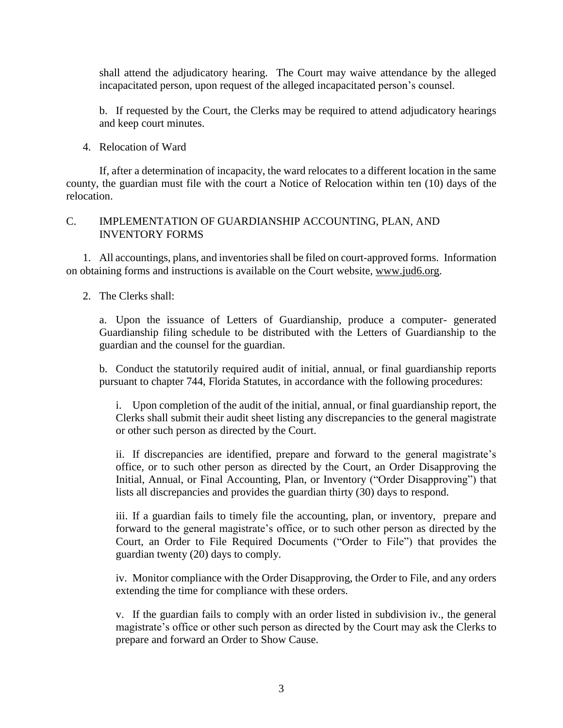shall attend the adjudicatory hearing. The Court may waive attendance by the alleged incapacitated person, upon request of the alleged incapacitated person's counsel.

b. If requested by the Court, the Clerks may be required to attend adjudicatory hearings and keep court minutes.

4. Relocation of Ward

If, after a determination of incapacity, the ward relocates to a different location in the same county, the guardian must file with the court a Notice of Relocation within ten (10) days of the relocation.

# C. IMPLEMENTATION OF GUARDIANSHIP ACCOUNTING, PLAN, AND INVENTORY FORMS

1. All accountings, plans, and inventories shall be filed on court-approved forms. Information on obtaining forms and instructions is available on the Court website, www.jud6.org.

2. The Clerks shall:

a. Upon the issuance of Letters of Guardianship, produce a computer- generated Guardianship filing schedule to be distributed with the Letters of Guardianship to the guardian and the counsel for the guardian.

b. Conduct the statutorily required audit of initial, annual, or final guardianship reports pursuant to chapter 744, Florida Statutes, in accordance with the following procedures:

i. Upon completion of the audit of the initial, annual, or final guardianship report, the Clerks shall submit their audit sheet listing any discrepancies to the general magistrate or other such person as directed by the Court.

ii. If discrepancies are identified, prepare and forward to the general magistrate's office, or to such other person as directed by the Court, an Order Disapproving the Initial, Annual, or Final Accounting, Plan, or Inventory ("Order Disapproving") that lists all discrepancies and provides the guardian thirty (30) days to respond.

iii. If a guardian fails to timely file the accounting, plan, or inventory, prepare and forward to the general magistrate's office, or to such other person as directed by the Court, an Order to File Required Documents ("Order to File") that provides the guardian twenty (20) days to comply.

iv. Monitor compliance with the Order Disapproving, the Order to File, and any orders extending the time for compliance with these orders.

v. If the guardian fails to comply with an order listed in subdivision iv., the general magistrate's office or other such person as directed by the Court may ask the Clerks to prepare and forward an Order to Show Cause.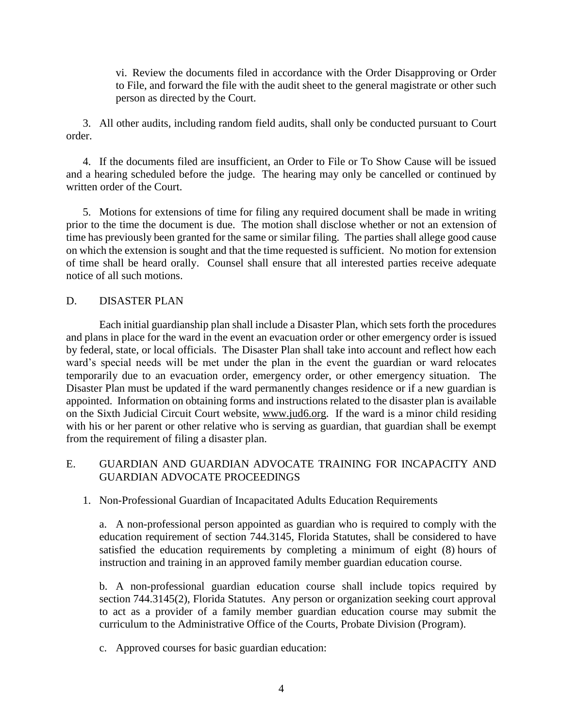vi. Review the documents filed in accordance with the Order Disapproving or Order to File, and forward the file with the audit sheet to the general magistrate or other such person as directed by the Court.

3. All other audits, including random field audits, shall only be conducted pursuant to Court order.

4. If the documents filed are insufficient, an Order to File or To Show Cause will be issued and a hearing scheduled before the judge. The hearing may only be cancelled or continued by written order of the Court.

5. Motions for extensions of time for filing any required document shall be made in writing prior to the time the document is due. The motion shall disclose whether or not an extension of time has previously been granted for the same or similar filing. The parties shall allege good cause on which the extension is sought and that the time requested is sufficient. No motion for extension of time shall be heard orally. Counsel shall ensure that all interested parties receive adequate notice of all such motions.

# D. DISASTER PLAN

Each initial guardianship plan shall include a Disaster Plan, which sets forth the procedures and plans in place for the ward in the event an evacuation order or other emergency order is issued by federal, state, or local officials. The Disaster Plan shall take into account and reflect how each ward's special needs will be met under the plan in the event the guardian or ward relocates temporarily due to an evacuation order, emergency order, or other emergency situation. The Disaster Plan must be updated if the ward permanently changes residence or if a new guardian is appointed. Information on obtaining forms and instructions related to the disaster plan is available on the Sixth Judicial Circuit Court website, www.jud6.org. If the ward is a minor child residing with his or her parent or other relative who is serving as guardian, that guardian shall be exempt from the requirement of filing a disaster plan.

# E. GUARDIAN AND GUARDIAN ADVOCATE TRAINING FOR INCAPACITY AND GUARDIAN ADVOCATE PROCEEDINGS

## 1. Non-Professional Guardian of Incapacitated Adults Education Requirements

a. A non-professional person appointed as guardian who is required to comply with the education requirement of section 744.3145, Florida Statutes, shall be considered to have satisfied the education requirements by completing a minimum of eight (8) hours of instruction and training in an approved family member guardian education course.

b. A non-professional guardian education course shall include topics required by section 744.3145(2), Florida Statutes. Any person or organization seeking court approval to act as a provider of a family member guardian education course may submit the curriculum to the Administrative Office of the Courts, Probate Division (Program).

c. Approved courses for basic guardian education: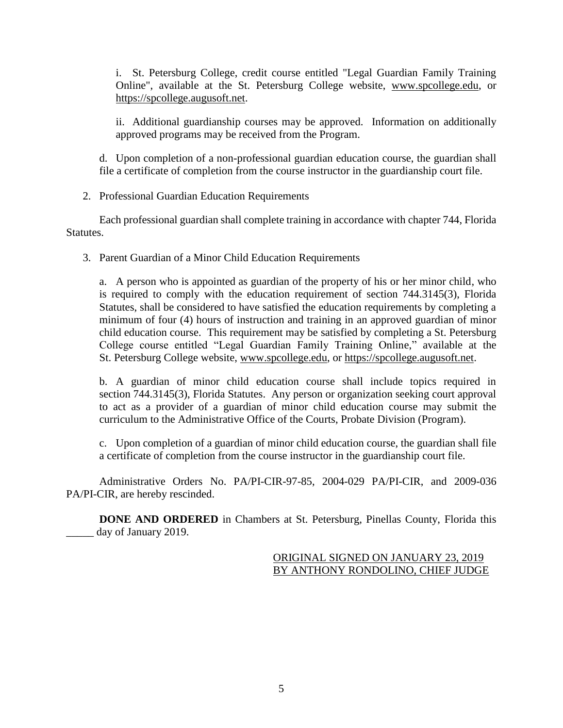i. St. Petersburg College, credit course entitled "Legal Guardian Family Training Online", available at the St. Petersburg College website, www.spcollege.edu, or https://spcollege.augusoft.net.

ii. Additional guardianship courses may be approved. Information on additionally approved programs may be received from the Program.

d. Upon completion of a non-professional guardian education course, the guardian shall file a certificate of completion from the course instructor in the guardianship court file.

2. Professional Guardian Education Requirements

Each professional guardian shall complete training in accordance with chapter 744, Florida Statutes.

3. Parent Guardian of a Minor Child Education Requirements

a. A person who is appointed as guardian of the property of his or her minor child, who is required to comply with the education requirement of section 744.3145(3), Florida Statutes, shall be considered to have satisfied the education requirements by completing a minimum of four (4) hours of instruction and training in an approved guardian of minor child education course. This requirement may be satisfied by completing a St. Petersburg College course entitled "Legal Guardian Family Training Online," available at the St. Petersburg College website, www.spcollege.edu, or https://spcollege.augusoft.net.

b. A guardian of minor child education course shall include topics required in section 744.3145(3), Florida Statutes. Any person or organization seeking court approval to act as a provider of a guardian of minor child education course may submit the curriculum to the Administrative Office of the Courts, Probate Division (Program).

c. Upon completion of a guardian of minor child education course, the guardian shall file a certificate of completion from the course instructor in the guardianship court file.

Administrative Orders No. PA/PI-CIR-97-85, 2004-029 PA/PI-CIR, and 2009-036 PA/PI-CIR, are hereby rescinded.

**DONE AND ORDERED** in Chambers at St. Petersburg, Pinellas County, Florida this day of January 2019.

> ORIGINAL SIGNED ON JANUARY 23, 2019 BY ANTHONY RONDOLINO, CHIEF JUDGE